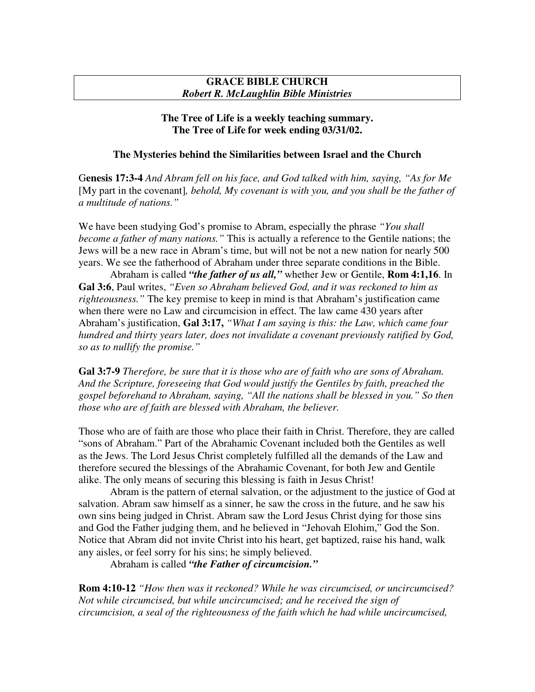## **GRACE BIBLE CHURCH** *Robert R. McLaughlin Bible Ministries*

# **The Tree of Life is a weekly teaching summary. The Tree of Life for week ending 03/31/02.**

# **The Mysteries behind the Similarities between Israel and the Church**

G**enesis 17:3-4** *And Abram fell on his face, and God talked with him, saying, "As for Me* [My part in the covenant]*, behold, My covenant is with you, and you shall be the father of a multitude of nations."*

We have been studying God's promise to Abram, especially the phrase *"You shall become a father of many nations."* This is actually a reference to the Gentile nations; the Jews will be a new race in Abram's time, but will not be not a new nation for nearly 500 years. We see the fatherhood of Abraham under three separate conditions in the Bible.

Abraham is called *"the father of us all,"* whether Jew or Gentile, **Rom 4:1,16**. In **Gal 3:6**, Paul writes, *"Even so Abraham believed God, and it was reckoned to him as righteousness."* The key premise to keep in mind is that Abraham's justification came when there were no Law and circumcision in effect. The law came 430 years after Abraham's justification, **Gal 3:17,** *"What I am saying is this: the Law, which came four hundred and thirty years later, does not invalidate a covenant previously ratified by God, so as to nullify the promise."*

**Gal 3:7-9** *Therefore, be sure that it is those who are of faith who are sons of Abraham. And the Scripture, foreseeing that God would justify the Gentiles by faith, preached the gospel beforehand to Abraham, saying, "All the nations shall be blessed in you." So then those who are of faith are blessed with Abraham, the believer.*

Those who are of faith are those who place their faith in Christ. Therefore, they are called "sons of Abraham." Part of the Abrahamic Covenant included both the Gentiles as well as the Jews. The Lord Jesus Christ completely fulfilled all the demands of the Law and therefore secured the blessings of the Abrahamic Covenant, for both Jew and Gentile alike. The only means of securing this blessing is faith in Jesus Christ!

Abram is the pattern of eternal salvation, or the adjustment to the justice of God at salvation. Abram saw himself as a sinner, he saw the cross in the future, and he saw his own sins being judged in Christ. Abram saw the Lord Jesus Christ dying for those sins and God the Father judging them, and he believed in "Jehovah Elohim," God the Son. Notice that Abram did not invite Christ into his heart, get baptized, raise his hand, walk any aisles, or feel sorry for his sins; he simply believed.

Abraham is called *"the Father of circumcision."*

**Rom 4:10-12** *"How then was it reckoned? While he was circumcised, or uncircumcised? Not while circumcised, but while uncircumcised; and he received the sign of circumcision, a seal of the righteousness of the faith which he had while uncircumcised,*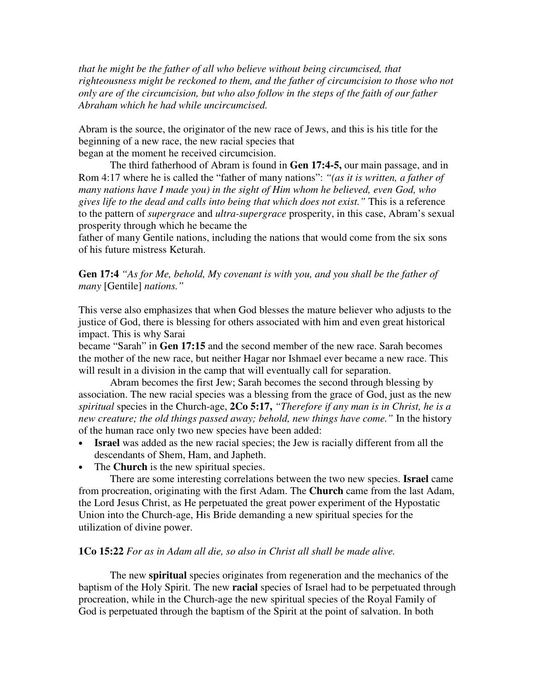*that he might be the father of all who believe without being circumcised, that righteousness might be reckoned to them, and the father of circumcision to those who not only are of the circumcision, but who also follow in the steps of the faith of our father Abraham which he had while uncircumcised.*

Abram is the source, the originator of the new race of Jews, and this is his title for the beginning of a new race, the new racial species that began at the moment he received circumcision.

The third fatherhood of Abram is found in **Gen 17:4-5,** our main passage, and in Rom 4:17 where he is called the "father of many nations": *"(as it is written, a father of many nations have I made you) in the sight of Him whom he believed, even God, who gives life to the dead and calls into being that which does not exist."* This is a reference to the pattern of *supergrace* and *ultra-supergrace* prosperity, in this case, Abram's sexual prosperity through which he became the

father of many Gentile nations, including the nations that would come from the six sons of his future mistress Keturah.

**Gen 17:4** *"As for Me, behold, My covenant is with you, and you shall be the father of many* [Gentile] *nations."*

This verse also emphasizes that when God blesses the mature believer who adjusts to the justice of God, there is blessing for others associated with him and even great historical impact. This is why Sarai

became "Sarah" in **Gen 17:15** and the second member of the new race. Sarah becomes the mother of the new race, but neither Hagar nor Ishmael ever became a new race. This will result in a division in the camp that will eventually call for separation.

Abram becomes the first Jew; Sarah becomes the second through blessing by association. The new racial species was a blessing from the grace of God, just as the new *spiritual* species in the Church-age, **2Co 5:17,** *"Therefore if any man is in Christ, he is a new creature; the old things passed away; behold, new things have come."* In the history of the human race only two new species have been added:

- **Israel** was added as the new racial species; the Jew is racially different from all the descendants of Shem, Ham, and Japheth.
- The **Church** is the new spiritual species.

There are some interesting correlations between the two new species. **Israel** came from procreation, originating with the first Adam. The **Church** came from the last Adam, the Lord Jesus Christ, as He perpetuated the great power experiment of the Hypostatic Union into the Church-age, His Bride demanding a new spiritual species for the utilization of divine power.

#### **1Co 15:22** *For as in Adam all die, so also in Christ all shall be made alive.*

The new **spiritual** species originates from regeneration and the mechanics of the baptism of the Holy Spirit. The new **racial** species of Israel had to be perpetuated through procreation, while in the Church-age the new spiritual species of the Royal Family of God is perpetuated through the baptism of the Spirit at the point of salvation. In both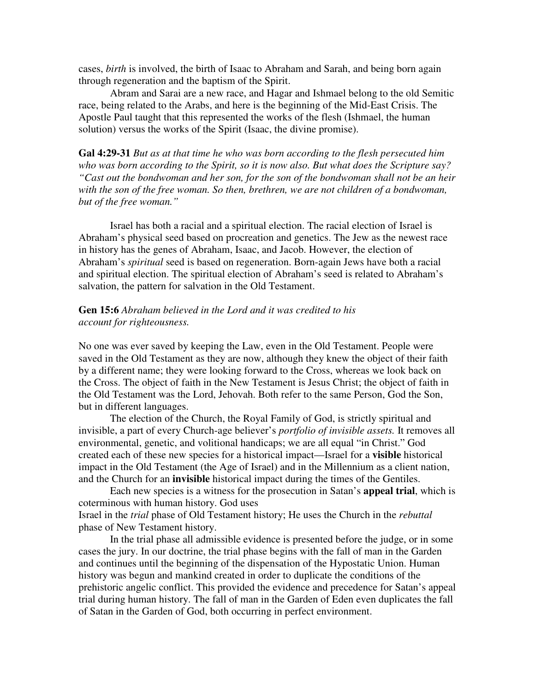cases, *birth* is involved, the birth of Isaac to Abraham and Sarah, and being born again through regeneration and the baptism of the Spirit.

Abram and Sarai are a new race, and Hagar and Ishmael belong to the old Semitic race, being related to the Arabs, and here is the beginning of the Mid-East Crisis. The Apostle Paul taught that this represented the works of the flesh (Ishmael, the human solution) versus the works of the Spirit (Isaac, the divine promise).

**Gal 4:29-31** *But as at that time he who was born according to the flesh persecuted him who was born according to the Spirit, so it is now also. But what does the Scripture say? "Cast out the bondwoman and her son, for the son of the bondwoman shall not be an heir with the son of the free woman. So then, brethren, we are not children of a bondwoman, but of the free woman."*

Israel has both a racial and a spiritual election. The racial election of Israel is Abraham's physical seed based on procreation and genetics. The Jew as the newest race in history has the genes of Abraham, Isaac, and Jacob. However, the election of Abraham's *spiritual* seed is based on regeneration. Born-again Jews have both a racial and spiritual election. The spiritual election of Abraham's seed is related to Abraham's salvation, the pattern for salvation in the Old Testament.

# **Gen 15:6** *Abraham believed in the Lord and it was credited to his account for righteousness.*

No one was ever saved by keeping the Law, even in the Old Testament. People were saved in the Old Testament as they are now, although they knew the object of their faith by a different name; they were looking forward to the Cross, whereas we look back on the Cross. The object of faith in the New Testament is Jesus Christ; the object of faith in the Old Testament was the Lord, Jehovah. Both refer to the same Person, God the Son, but in different languages.

The election of the Church, the Royal Family of God, is strictly spiritual and invisible, a part of every Church-age believer's *portfolio of invisible assets.* It removes all environmental, genetic, and volitional handicaps; we are all equal "in Christ." God created each of these new species for a historical impact—Israel for a **visible** historical impact in the Old Testament (the Age of Israel) and in the Millennium as a client nation, and the Church for an **invisible** historical impact during the times of the Gentiles.

Each new species is a witness for the prosecution in Satan's **appeal trial**, which is coterminous with human history. God uses Israel in the *trial* phase of Old Testament history; He uses the Church in the *rebuttal* phase of New Testament history.

In the trial phase all admissible evidence is presented before the judge, or in some cases the jury. In our doctrine, the trial phase begins with the fall of man in the Garden and continues until the beginning of the dispensation of the Hypostatic Union. Human history was begun and mankind created in order to duplicate the conditions of the prehistoric angelic conflict. This provided the evidence and precedence for Satan's appeal trial during human history. The fall of man in the Garden of Eden even duplicates the fall of Satan in the Garden of God, both occurring in perfect environment.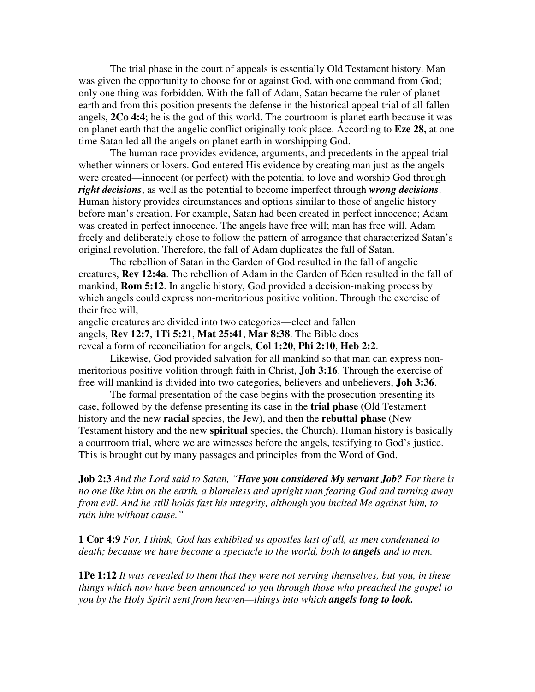The trial phase in the court of appeals is essentially Old Testament history. Man was given the opportunity to choose for or against God, with one command from God; only one thing was forbidden. With the fall of Adam, Satan became the ruler of planet earth and from this position presents the defense in the historical appeal trial of all fallen angels, **2Co 4:4**; he is the god of this world. The courtroom is planet earth because it was on planet earth that the angelic conflict originally took place. According to **Eze 28,** at one time Satan led all the angels on planet earth in worshipping God.

The human race provides evidence, arguments, and precedents in the appeal trial whether winners or losers. God entered His evidence by creating man just as the angels were created—innocent (or perfect) with the potential to love and worship God through *right decisions*, as well as the potential to become imperfect through *wrong decisions*. Human history provides circumstances and options similar to those of angelic history before man's creation. For example, Satan had been created in perfect innocence; Adam was created in perfect innocence. The angels have free will; man has free will. Adam freely and deliberately chose to follow the pattern of arrogance that characterized Satan's original revolution. Therefore, the fall of Adam duplicates the fall of Satan.

The rebellion of Satan in the Garden of God resulted in the fall of angelic creatures, **Rev 12:4a**. The rebellion of Adam in the Garden of Eden resulted in the fall of mankind, **Rom 5:12**. In angelic history, God provided a decision-making process by which angels could express non-meritorious positive volition. Through the exercise of their free will,

angelic creatures are divided into two categories—elect and fallen angels, **Rev 12:7**, **1Ti 5:21**, **Mat 25:41**, **Mar 8:38**. The Bible does reveal a form of reconciliation for angels, **Col 1:20**, **Phi 2:10**, **Heb 2:2**.

Likewise, God provided salvation for all mankind so that man can express nonmeritorious positive volition through faith in Christ, **Joh 3:16**. Through the exercise of free will mankind is divided into two categories, believers and unbelievers, **Joh 3:36**.

The formal presentation of the case begins with the prosecution presenting its case, followed by the defense presenting its case in the **trial phase** (Old Testament history and the new **racial** species, the Jew), and then the **rebuttal phase** (New Testament history and the new **spiritual** species, the Church). Human history is basically a courtroom trial, where we are witnesses before the angels, testifying to God's justice. This is brought out by many passages and principles from the Word of God.

**Job 2:3** *And the Lord said to Satan, "Have you considered My servant Job? For there is no one like him on the earth, a blameless and upright man fearing God and turning away from evil. And he still holds fast his integrity, although you incited Me against him, to ruin him without cause."*

**1 Cor 4:9** *For, I think, God has exhibited us apostles last of all, as men condemned to death; because we have become a spectacle to the world, both to angels and to men.*

**1Pe 1:12** *It was revealed to them that they were not serving themselves, but you, in these things which now have been announced to you through those who preached the gospel to you by the Holy Spirit sent from heaven—things into which angels long to look.*